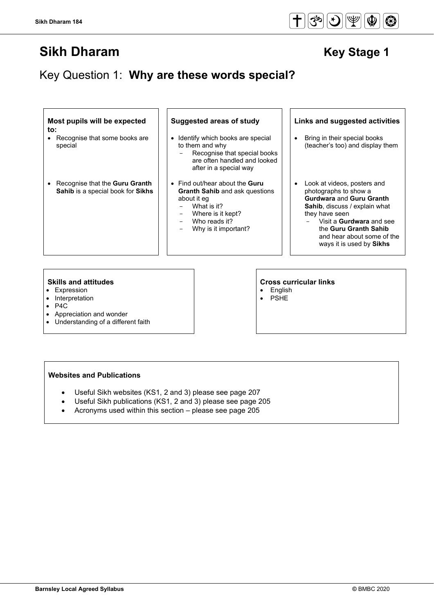# Key Question 1: **Why are these words special?**

| Most pupils will be expected<br>to:                                          | <b>Suggested areas of study</b>                                                                                                                                          | Links and suggested activities                                                                                                                                                                                                                                    |
|------------------------------------------------------------------------------|--------------------------------------------------------------------------------------------------------------------------------------------------------------------------|-------------------------------------------------------------------------------------------------------------------------------------------------------------------------------------------------------------------------------------------------------------------|
| • Recognise that some books are<br>special                                   | Identify which books are special<br>$\bullet$<br>to them and why<br>Recognise that special books<br>are often handled and looked<br>after in a special way               | Bring in their special books<br>(teacher's too) and display them                                                                                                                                                                                                  |
| • Recognise that the <b>Guru Granth</b><br>Sahib is a special book for Sikhs | • Find out/hear about the Guru<br><b>Granth Sahib and ask questions</b><br>about it eq<br>What is it?<br>Where is it kept?<br>Who reads it?<br>Why is it important?<br>- | Look at videos, posters and<br>photographs to show a<br><b>Gurdwara and Guru Granth</b><br><b>Sahib</b> , discuss / explain what<br>they have seen<br>Visit a Gurdwara and see<br>the Guru Granth Sahib<br>and hear about some of the<br>ways it is used by Sikhs |
|                                                                              |                                                                                                                                                                          |                                                                                                                                                                                                                                                                   |

- Expression<br>• Interpretation
- Interpretation<br>• P4C
- P4C
- Appreciation and wonder
- Understanding of a different faith

#### **Websites and Publications**

- Useful Sikh websites (KS1, 2 and 3) please see page 207
- Useful Sikh publications (KS1, 2 and 3) please see page 205
- Acronyms used within this section please see page 205



# **Skills and attitudes**<br> **Expression**<br> **Cross curricular links**<br> **Cross curricular links**<br> **Cross curricular links**

**English** • PSHE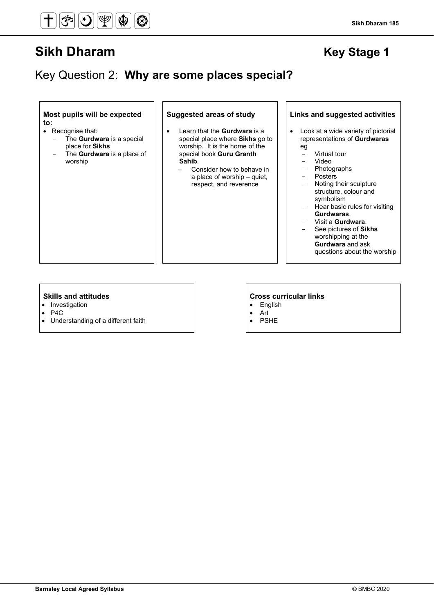## Key Question 2: **Why are some places special?**

**Most pupils will be expected to:**

- Recognise that:
	- The **Gurdwara** is a special place for **Sikhs**
	- The **Gurdwara** is a place of worship

- Learn that the **Gurdwara** is a special place where **Sikhs** go to worship. It is the home of the special book **Guru Granth Sahib**.
	- − Consider how to behave in a place of worship – quiet, respect, and reverence

#### **Suggested areas of study Links and suggested activities**

- Look at a wide variety of pictorial representations of **Gurdwaras** eg
	- Virtual tour
	- Video
	- Photographs
	- **Posters**
	- Noting their sculpture structure, colour and symbolism
	- Hear basic rules for visiting **Gurdwaras**.
	- Visit a **Gurdwara**.
	- See pictures of **Sikhs** worshipping at the **Gurdwara** and ask questions about the worship

- Investigation
- P4C
- Understanding of a different faith

- English
- Art
- **PSHE**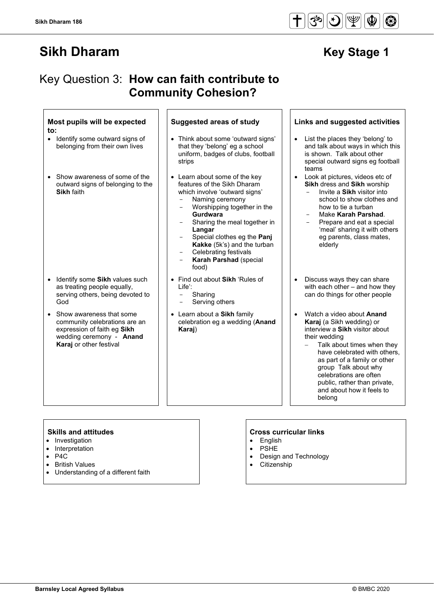# Key Question 3: **How can faith contribute to Community Cohesion?**

#### **Most pupils will be expected to:**

- Identify some outward signs of belonging from their own lives
- Show awareness of some of the outward signs of belonging to the **Sikh** faith

- Identify some **Sikh** values such as treating people equally, serving others, being devoted to God
- Show awareness that some community celebrations are an expression of faith eg **Sikh**  wedding ceremony - **Anand Karaj** or other festival

- Think about some 'outward signs' that they 'belong' eg a school uniform, badges of clubs, football strips
- Learn about some of the key features of the Sikh Dharam which involve 'outward signs'
	- Naming ceremony
	- Worshipping together in the **Gurdwara**
	- Sharing the meal together in **Langar**
	- Special clothes eg the **Panj Kakke** (5k's) and the turban
	- Celebrating festivals **Karah Parshad** (special food)
- Find out about **Sikh** 'Rules of Life':
	- **Sharing**
	- Serving others
- Learn about a **Sikh** family celebration eg a wedding (**Anand Karaj**)

#### **Suggested areas of study Links and suggested activities**

- List the places they 'belong' to and talk about ways in which this is shown. Talk about other special outward signs eg football teams
- Look at pictures, videos etc of **Sikh** dress and **Sikh** worship
	- Invite a **Sikh** visitor into school to show clothes and how to tie a turban
	- Make **Karah Parshad**.
	- Prepare and eat a special 'meal' sharing it with others eg parents, class mates, elderly
- Discuss ways they can share with each other – and how they can do things for other people
- Watch a video about **Anand Karaj** (a Sikh wedding) or interview a **Sikh** visitor about their wedding
	- − Talk about times when they have celebrated with others, as part of a family or other group Talk about why celebrations are often public, rather than private, and about how it feels to belong

- Investigation
- Interpretation
- P4C
- British Values
- Understanding of a different faith

- English
- **PSHE**
- Design and Technology
- **Citizenship**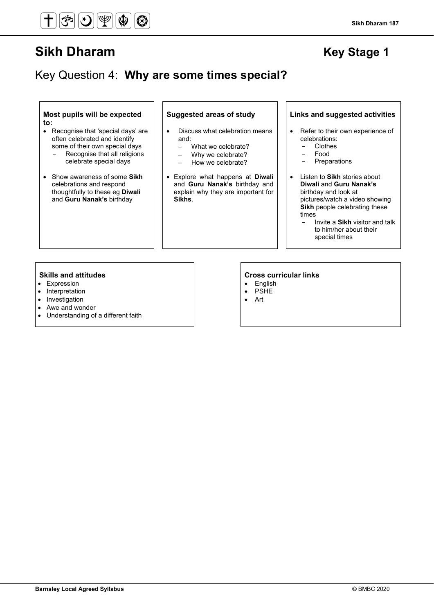## Key Question 4: **Why are some times special?**

**Most pupils will be expected to:**

- Recognise that 'special days' are often celebrated and identify some of their own special days Recognise that all religions celebrate special days
- Show awareness of some **Sikh** celebrations and respond thoughtfully to these eg **Diwali** and **Guru Nanak's** birthday

- Discuss what celebration means and:
	- − What we celebrate?
	- − Why we celebrate?
	- − How we celebrate?
- Explore what happens at **Diwali** and **Guru Nanak's** birthday and explain why they are important for **Sikhs**.

#### **Suggested areas of study Links and suggested activities**

- Refer to their own experience of celebrations:
	- **Clothes**
	- Food
	- **Preparations**
- Listen to **Sikh** stories about **Diwali** and **Guru Nanak's** birthday and look at pictures/watch a video showing **Sikh** people celebrating these times
	- Invite a **Sikh** visitor and talk to him/her about their special times

- Expression
- Interpretation
- Investigation
- Awe and wonder
- Understanding of a different faith

- English
- **PSHE**
- Art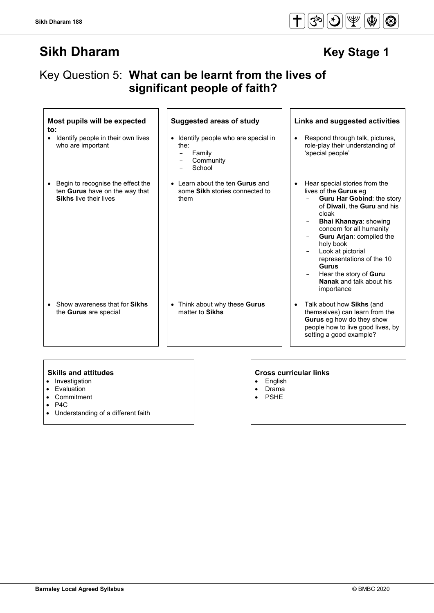## Key Question 5: **What can be learnt from the lives of significant people of faith?**

 $\overline{1}$   $\overline{1}$ 

| Most pupils will be expected<br>$\mathsf{to}$ :                                                      | <b>Suggested areas of study</b>                                                  | Links and suggested activities                                                                                                                                                                                                                                                                                                                                                                     |
|------------------------------------------------------------------------------------------------------|----------------------------------------------------------------------------------|----------------------------------------------------------------------------------------------------------------------------------------------------------------------------------------------------------------------------------------------------------------------------------------------------------------------------------------------------------------------------------------------------|
| Identify people in their own lives<br>٠<br>who are important                                         | • Identify people who are special in<br>the:<br>Family<br>Community<br>School    | Respond through talk, pictures,<br>$\bullet$<br>role-play their understanding of<br>'special people'                                                                                                                                                                                                                                                                                               |
| Begin to recognise the effect the<br>ten Gurus have on the way that<br><b>Sikhs live their lives</b> | • Learn about the ten <b>Gurus</b> and<br>some Sikh stories connected to<br>them | Hear special stories from the<br>$\bullet$<br>lives of the <b>Gurus</b> eq<br>Guru Har Gobind: the story<br>of Diwali, the Guru and his<br>cloak<br><b>Bhai Khanaya: showing</b><br>concern for all humanity<br>Guru Arjan: compiled the<br>holy book<br>Look at pictorial<br>representations of the 10<br><b>Gurus</b><br>Hear the story of Guru<br><b>Nanak</b> and talk about his<br>importance |
| Show awareness that for <b>Sikhs</b><br>the <b>Gurus</b> are special                                 | • Think about why these Gurus<br>matter to Sikhs                                 | Talk about how Sikhs (and<br>$\bullet$<br>themselves) can learn from the<br>Gurus eg how do they show<br>people how to live good lives, by<br>setting a good example?                                                                                                                                                                                                                              |

- Investigation
- Evaluation<br>• Commitme
- **Commitment**
- P4C
- Understanding of a different faith

### **Skills and attitudes CRS CRS CRS CRS CRS CRS CRS CRS CRS CRS CRS CRS CRS CRS CRS CRS CRS CRS CRS CRS CRS CRS CRS CRS CRS CRS CRS CRS CRS CRS CRS CRS CRS**

 $\overline{1}$   $\overline{1}$ 

- English • Drama
- PSHE

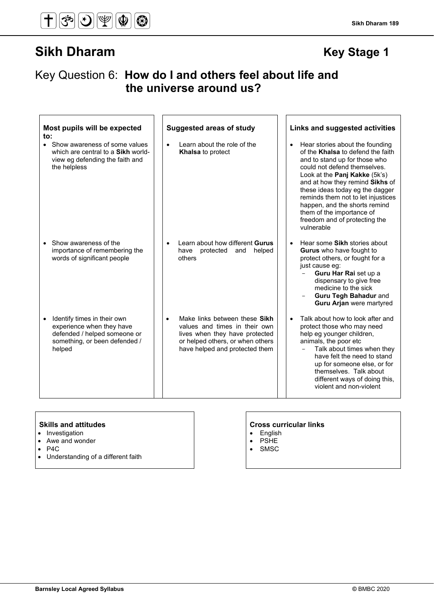## Key Question 6: **How do I and others feel about life and the universe around us?**

| Most pupils will be expected                                                                                                                     | <b>Suggested areas of study</b>                                                                                                                                                     | Links and suggested activities                                                                                                                                                                                                                                                                                                                                                                               |
|--------------------------------------------------------------------------------------------------------------------------------------------------|-------------------------------------------------------------------------------------------------------------------------------------------------------------------------------------|--------------------------------------------------------------------------------------------------------------------------------------------------------------------------------------------------------------------------------------------------------------------------------------------------------------------------------------------------------------------------------------------------------------|
| to:<br>• Show awareness of some values<br>which are central to a Sikh world-<br>view eg defending the faith and<br>the helpless                  | Learn about the role of the<br><b>Khalsa</b> to protect                                                                                                                             | Hear stories about the founding<br>$\bullet$<br>of the Khalsa to defend the faith<br>and to stand up for those who<br>could not defend themselves.<br>Look at the Panj Kakke (5k's)<br>and at how they remind Sikhs of<br>these ideas today eg the dagger<br>reminds them not to let injustices<br>happen, and the shorts remind<br>them of the importance of<br>freedom and of protecting the<br>vulnerable |
| Show awareness of the<br>importance of remembering the<br>words of significant people                                                            | Learn about how different Gurus<br>have<br>protected<br>and<br>helped<br>others                                                                                                     | Hear some Sikh stories about<br>$\bullet$<br>Gurus who have fought to<br>protect others, or fought for a<br>just cause eg:<br>Guru Har Rai set up a<br>dispensary to give free<br>medicine to the sick<br>Guru Tegh Bahadur and<br><b>Guru Arjan were martyred</b>                                                                                                                                           |
| Identify times in their own<br>$\bullet$<br>experience when they have<br>defended / helped someone or<br>something, or been defended /<br>helped | Make links between these Sikh<br>$\bullet$<br>values and times in their own<br>lives when they have protected<br>or helped others, or when others<br>have helped and protected them | Talk about how to look after and<br>protect those who may need<br>help eg younger children,<br>animals, the poor etc<br>Talk about times when they<br>have felt the need to stand<br>up for someone else, or for<br>themselves. Talk about<br>different ways of doing this,<br>violent and non-violent                                                                                                       |

- Investigation
- Awe and wonder
- 
- P4C • Understanding of a different faith

- English
- PSHE
- SMSC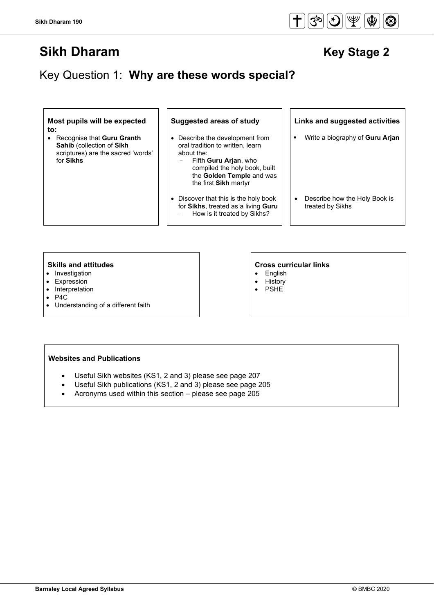Key Question 1: **Why are these words special?**

**Most pupils will be expected to:**

• Recognise that **Guru Granth Sahib** (collection of **Sikh** scriptures) are the sacred 'words' for **Sikhs**

- Describe the development from oral tradition to written, learn about the:
	- Fifth **Guru Arjan**, who compiled the holy book, built the **Golden Temple** and was the first **Sikh** martyr
- Discover that this is the holy book for **Sikhs**, treated as a living **Guru** - How is it treated by Sikhs?

**Suggested areas of study Links and suggested activities**

- Write a biography of **Guru Arjan**
- Describe how the Holy Book is treated by Sikhs

- Investigation
- Expression
- Interpretation
- P4C
- Understanding of a different faith

#### **Skills and attitudes Cross curricular links**

- English
- History
- PSHE

#### **Websites and Publications**

- Useful Sikh websites (KS1, 2 and 3) please see page 207
- Useful Sikh publications (KS1, 2 and 3) please see page 205
- Acronyms used within this section please see page 205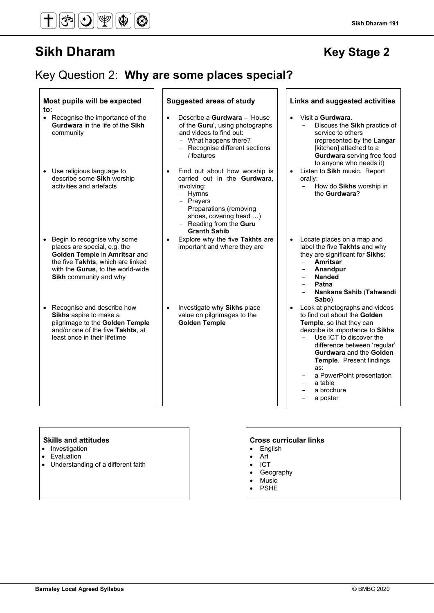#### $\overline{\bm{f}}$  $\textcircled{r}$  $|\mathcal{S}$ ৯  $\bigcirc$

# **Sikh Dharam Key Stage 2**

**Sikh Dharam 191**

# Key Question 2: **Why are some places special?**

| Most pupils will be expected                                                                                                                                                                     | <b>Suggested areas of study</b>                                                                                                                                                                                          | Links and suggested activities                                                                                                                                                                                                                                                                                                   |
|--------------------------------------------------------------------------------------------------------------------------------------------------------------------------------------------------|--------------------------------------------------------------------------------------------------------------------------------------------------------------------------------------------------------------------------|----------------------------------------------------------------------------------------------------------------------------------------------------------------------------------------------------------------------------------------------------------------------------------------------------------------------------------|
| to:<br>• Recognise the importance of the<br>Gurdwara in the life of the Sikh<br>community                                                                                                        | Describe a <b>Gurdwara</b> – 'House<br>of the Guru', using photographs<br>and videos to find out:<br>- What happens there?<br>- Recognise different sections<br>/ features                                               | Visit a Gurdwara.<br>$\bullet$<br>Discuss the Sikh practice of<br>service to others<br>(represented by the Langar<br>[kitchen] attached to a<br>Gurdwara serving free food<br>to anyone who needs it)                                                                                                                            |
| Use religious language to<br>$\bullet$<br>describe some Sikh worship<br>activities and artefacts                                                                                                 | Find out about how worship is<br>$\bullet$<br>carried out in the Gurdwara,<br>involving:<br>- Hymns<br>- Prayers<br>- Preparations (removing<br>shoes, covering head )<br>- Reading from the Guru<br><b>Granth Sahib</b> | Listen to Sikh music. Report<br>$\bullet$<br>orally:<br>How do Sikhs worship in<br>$-$<br>the Gurdwara?                                                                                                                                                                                                                          |
| Begin to recognise why some<br>places are special, e.g. the<br>Golden Temple in Amritsar and<br>the five Takhts, which are linked<br>with the Gurus, to the world-wide<br>Sikh community and why | Explore why the five Takhts are<br>$\bullet$<br>important and where they are                                                                                                                                             | Locate places on a map and<br>$\bullet$<br>label the five Takhts and why<br>they are significant for Sikhs:<br>Amritsar<br>$\overline{a}$<br>Anandpur<br><b>Nanded</b><br>Patna<br>Nankana Sahib (Tahwandi<br>Sabo)                                                                                                              |
| Recognise and describe how<br>Sikhs aspire to make a<br>pilgrimage to the Golden Temple<br>and/or one of the five Takhts, at<br>least once in their lifetime                                     | Investigate why Sikhs place<br>$\bullet$<br>value on pilgrimages to the<br><b>Golden Temple</b>                                                                                                                          | Look at photographs and videos<br>to find out about the Golden<br>Temple, so that they can<br>describe its importance to Sikhs<br>Use ICT to discover the<br>difference between 'regular'<br>Gurdwara and the Golden<br><b>Temple.</b> Present findings<br>as:<br>a PowerPoint presentation<br>a table<br>a brochure<br>a poster |

### **Skills and attitudes CRS CRS CRS CRS CRS CRS CRS CRS CRS CRS CRS CRS CRS CRS CRS CRS CRS CRS CRS CRS CRS CRS CRS CRS CRS CRS CRS CRS CRS CRS CRS CRS CRS**

- Investigation
- Evaluation
- Understanding of a different faith

- English
- Art
- ICT
- Geography • Music
- 
- **PSHE**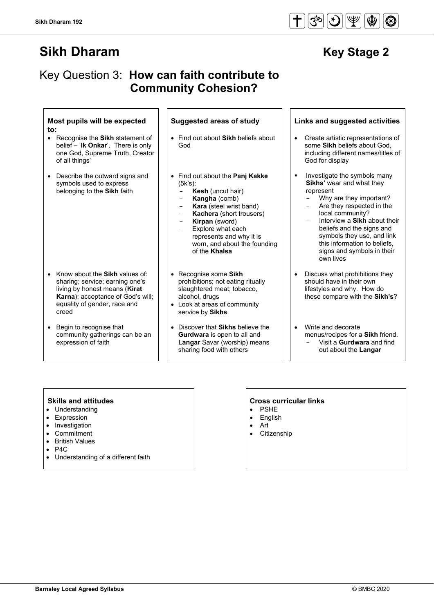## Key Question 3: **How can faith contribute to Community Cohesion?**

#### **Most pupils will be expected to:**

- Recognise the **Sikh** statement of belief – '**Ik Onkar**'. There is only one God, Supreme Truth, Creator of all things'
- Describe the outward signs and symbols used to express belonging to the **Sikh** faith

- Know about the **Sikh** values of: sharing; service; earning one's living by honest means (**Kirat Karna**); acceptance of God's will; equality of gender, race and creed
- Begin to recognise that community gatherings can be an expression of faith

- Find out about **Sikh** beliefs about God
- Find out about the **Panj Kakke** (5k's):
	- **Kesh** (uncut hair)
	- **Kangha** (comb)<br>**Kara** (steel wrist
	- **Kara** (steel wrist band)<br>**Kachera** (short trousery
	- Kachera (short trousers)
	- **Kirpan** (sword)
	- Explore what each represents and why it is worn, and about the founding of the **Khalsa**
- Recognise some **Sikh** prohibitions; not eating ritually slaughtered meat; tobacco, alcohol, drugs
- Look at areas of community service by **Sikhs**
- Discover that **Sikhs** believe the **Gurdwara** is open to all and **Langar** Savar (worship) means sharing food with others

### **Suggested areas of study Links and suggested activities**

- Create artistic representations of some **Sikh** beliefs about God, including different names/titles of God for display
- Investigate the symbols many **Sikhs'** wear and what they represent
	- Why are they important?<br>- Are they respected in the
	- Are they respected in the local community?
	- Interview a **Sikh** about their beliefs and the signs and symbols they use, and link this information to beliefs, signs and symbols in their own lives
- Discuss what prohibitions they should have in their own lifestyles and why. How do these compare with the **Sikh's**?
- Write and decorate menus/recipes for a **Sikh** friend. - Visit a **Gurdwara** and find out about the **Langar**

- Understanding
- **Expression**
- Investigation
- **Commitment**
- British Values
- P<sub>4</sub>C
- Understanding of a different faith

- **PSHE**
- **English** • Art
- Citizenship

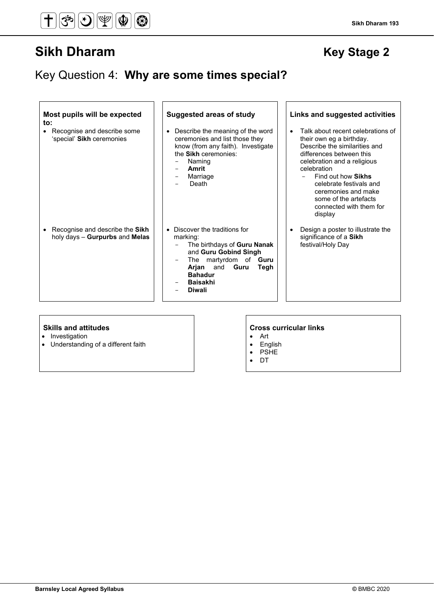# Key Question 4: **Why are some times special?**

| Most pupils will be expected<br>to:<br>Recognise and describe some<br>'special' Sikh ceremonies | <b>Suggested areas of study</b><br>Describe the meaning of the word<br>ceremonies and list those they<br>know (from any faith). Investigate<br>the Sikh ceremonies:<br>Naming<br>Amrit<br>Marriage<br>Death     | Links and suggested activities<br>Talk about recent celebrations of<br>their own eg a birthday.<br>Describe the similarities and<br>differences between this<br>celebration and a religious<br>celebration<br>Find out how Sikhs<br>celebrate festivals and<br>ceremonies and make<br>some of the artefacts<br>connected with them for<br>display |
|-------------------------------------------------------------------------------------------------|-----------------------------------------------------------------------------------------------------------------------------------------------------------------------------------------------------------------|---------------------------------------------------------------------------------------------------------------------------------------------------------------------------------------------------------------------------------------------------------------------------------------------------------------------------------------------------|
| Recognise and describe the Sikh<br>$\bullet$<br>holy days - Gurpurbs and Melas                  | • Discover the traditions for<br>marking:<br>The birthdays of Guru Nanak<br>and Guru Gobind Singh<br>The martyrdom of Guru<br>-<br>Arjan and Guru<br>Tegh<br><b>Bahadur</b><br><b>Baisakhi</b><br><b>Diwali</b> | Design a poster to illustrate the<br>significance of a Sikh<br>festival/Holy Day                                                                                                                                                                                                                                                                  |

- Investigation
- Understanding of a different faith

- Art
- English
- PSHE
- DT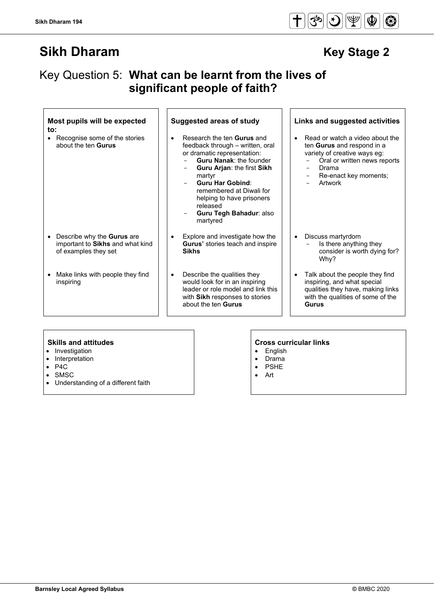## Key Question 5: **What can be learnt from the lives of significant people of faith?**

#### **Most pupils will be expected to:**

• Recognise some of the stories about the ten **Gurus**

- Describe why the **Gurus** are important to **Sikhs** and what kind of examples they set
- Make links with people they find inspiring

- Research the ten **Gurus** and feedback through – written, oral or dramatic representation:
	- **Guru Nanak: the founder** - **Guru Arjan**: the first **Sikh**
	- martyr - **Guru Har Gobind**:
	- remembered at Diwali for helping to have prisoners released
	- **Guru Tegh Bahadur**: also martyred
- Explore and investigate how the **Gurus'** stories teach and inspire **Sikhs**
- Describe the qualities they would look for in an inspiring leader or role model and link this with **Sikh** responses to stories about the ten **Gurus**

#### **Suggested areas of study Links and suggested activities**

Read or watch a video about the ten **Gurus** and respond in a variety of creative ways eg:

- Oral or written news reports
- **Drama**
- Re-enact key moments;
- **Artwork**
- Discuss martyrdom Is there anything they consider is worth dying for? Why?
- Talk about the people they find inspiring, and what special qualities they have, making links with the qualities of some of the **Gurus**

- Investigation
- Interpretation
- P4C
- SMSC
- Understanding of a different faith

- English
- Drama
- PSHE • Art
- 

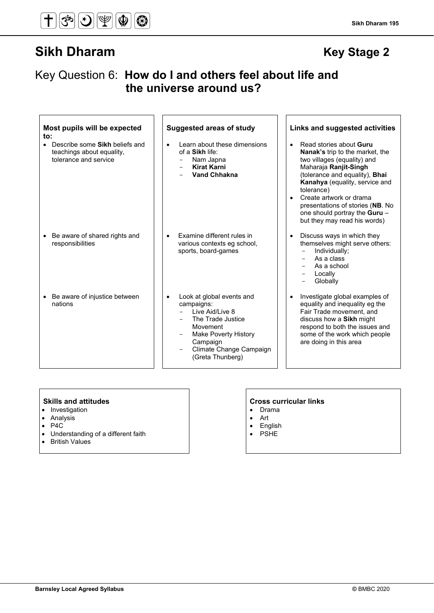#### **Sikh Dharam 195**

## Key Question 6: **How do I and others feel about life and the universe around us?**

| Most pupils will be expected<br>to:<br>Describe some Sikh beliefs and<br>teachings about equality,<br>tolerance and service | <b>Suggested areas of study</b><br>Learn about these dimensions<br>$\bullet$<br>of a Sikh life:<br>Nam Japna<br><b>Kirat Karni</b><br><b>Vand Chhakna</b>                                                               | Links and suggested activities<br>Read stories about Guru<br>$\bullet$<br><b>Nanak's trip to the market, the</b><br>two villages (equality) and<br>Maharaja Ranjit-Singh<br>(tolerance and equality), <b>Bhai</b><br>Kanahya (equality, service and<br>tolerance)<br>Create artwork or drama<br>$\bullet$<br>presentations of stories (NB. No<br>one should portray the Guru -<br>but they may read his words) |
|-----------------------------------------------------------------------------------------------------------------------------|-------------------------------------------------------------------------------------------------------------------------------------------------------------------------------------------------------------------------|----------------------------------------------------------------------------------------------------------------------------------------------------------------------------------------------------------------------------------------------------------------------------------------------------------------------------------------------------------------------------------------------------------------|
| Be aware of shared rights and<br>responsibilities                                                                           | Examine different rules in<br>$\bullet$<br>various contexts eg school,<br>sports, board-games                                                                                                                           | Discuss ways in which they<br>themselves might serve others:<br>Individually;<br>As a class<br>As a school<br>Locally<br>Globally                                                                                                                                                                                                                                                                              |
| Be aware of injustice between<br>$\bullet$<br>nations                                                                       | Look at global events and<br>$\bullet$<br>campaigns:<br>Live Aid/Live 8<br>The Trade Justice<br>Movement<br><b>Make Poverty History</b><br>$\qquad \qquad -$<br>Campaign<br>Climate Change Campaign<br>(Greta Thunberg) | Investigate global examples of<br>equality and inequality eg the<br>Fair Trade movement, and<br>discuss how a Sikh might<br>respond to both the issues and<br>some of the work which people<br>are doing in this area                                                                                                                                                                                          |

- Investigation
- Analysis
- P4C
- Understanding of a different faith
- British Values

- Drama
- Art
- English<br>• PSHE
- PSHE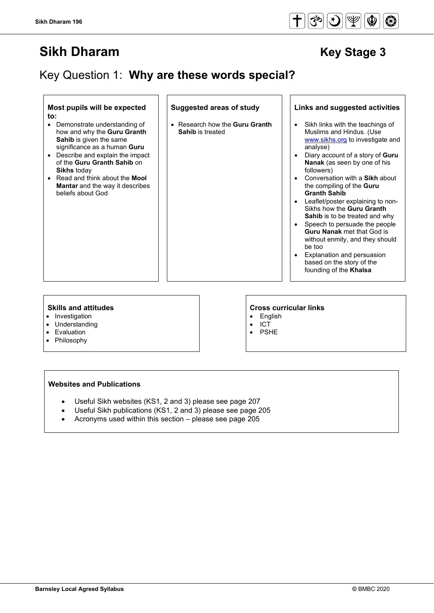# Key Question 1: **Why are these words special?**

#### **Most pupils will be expected to:**

- Demonstrate understanding of how and why the **Guru Granth Sahib** is given the same significance as a human **Guru**
- Describe and explain the impact of the **Guru Granth Sahib** on **Sikhs** today
- Read and think about the **Mool Mantar** and the way it describes beliefs about God

#### **Suggested areas of study Links and suggested activities**

• Research how the **Guru Granth Sahib** is treated

**Skills and attitudes Cross curricular links**

- **English**
- ICT
- PSHE

#### • Investigation

- **Understanding**
- Evaluation
- **Philosophy**

### **Websites and Publications**

- Useful Sikh websites (KS1, 2 and 3) please see page 207
- Useful Sikh publications (KS1, 2 and 3) please see page 205
- Acronyms used within this section please see page 205



Sikh links with the teachings of Muslims and Hindus. (Use [www.sikhs.org](http://www.sikhs.org/) to investigate and

• Diary account of a story of **Guru Nanak** (as seen by one of his

• Conversation with a **Sikh** about the compiling of the **Guru** 

• Leaflet/poster explaining to non-Sikhs how the **Guru Granth Sahib** is to be treated and why Speech to persuade the people **Guru Nanak** met that God is without enmity, and they should

• Explanation and persuasion based on the story of the founding of the **Khalsa**

analyse)

followers)

be too

**Granth Sahib**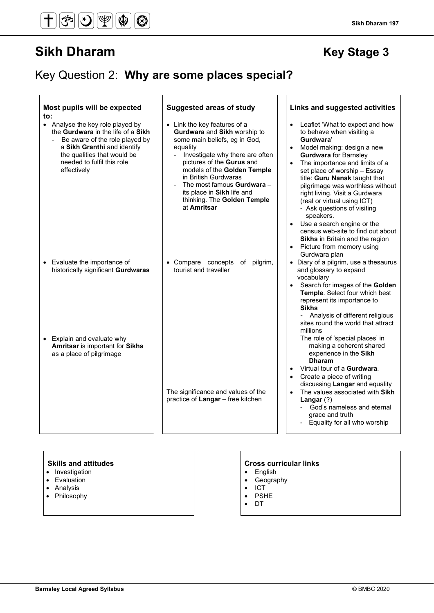# Key Question 2: **Why are some places special?**

| Most pupils will be expected<br>to:                                                                                                                                                                                 | <b>Suggested areas of study</b>                                                                                                                                                                                                                                                                                                                   | Links and suggested activities                                                                                                                                                                                                                                                                                                                                                                                                                                                                                                                                                           |
|---------------------------------------------------------------------------------------------------------------------------------------------------------------------------------------------------------------------|---------------------------------------------------------------------------------------------------------------------------------------------------------------------------------------------------------------------------------------------------------------------------------------------------------------------------------------------------|------------------------------------------------------------------------------------------------------------------------------------------------------------------------------------------------------------------------------------------------------------------------------------------------------------------------------------------------------------------------------------------------------------------------------------------------------------------------------------------------------------------------------------------------------------------------------------------|
| • Analyse the key role played by<br>the Gurdwara in the life of a Sikh<br>Be aware of the role played by<br>a Sikh Granthi and identify<br>the qualities that would be<br>needed to fulfil this role<br>effectively | • Link the key features of a<br>Gurdwara and Sikh worship to<br>some main beliefs, eg in God,<br>equality<br>Investigate why there are often<br>pictures of the Gurus and<br>models of the Golden Temple<br>in British Gurdwaras<br>The most famous <b>Gurdwara</b> -<br>its place in Sikh life and<br>thinking. The Golden Temple<br>at Amritsar | Leaflet 'What to expect and how<br>to behave when visiting a<br>Gurdwara'<br>Model making: design a new<br>$\bullet$<br><b>Gurdwara</b> for Barnsley<br>The importance and limits of a<br>$\bullet$<br>set place of worship - Essay<br>title: Guru Nanak taught that<br>pilgrimage was worthless without<br>right living. Visit a Gurdwara<br>(real or virtual using ICT)<br>- Ask questions of visiting<br>speakers.<br>Use a search engine or the<br>$\bullet$<br>census web-site to find out about<br>Sikhs in Britain and the region<br>• Picture from memory using<br>Gurdwara plan |
| Evaluate the importance of<br>$\bullet$<br>historically significant Gurdwaras                                                                                                                                       | • Compare concepts of pilgrim,<br>tourist and traveller                                                                                                                                                                                                                                                                                           | • Diary of a pilgrim, use a thesaurus<br>and glossary to expand<br>vocabulary<br>Search for images of the Golden<br>Temple. Select four which best<br>represent its importance to<br><b>Sikhs</b><br>- Analysis of different religious<br>sites round the world that attract<br>millions                                                                                                                                                                                                                                                                                                 |
| • Explain and evaluate why<br>Amritsar is important for Sikhs<br>as a place of pilgrimage                                                                                                                           |                                                                                                                                                                                                                                                                                                                                                   | The role of 'special places' in<br>making a coherent shared<br>experience in the Sikh<br><b>Dharam</b><br>Virtual tour of a <b>Gurdwara</b> .<br>$\bullet$<br>Create a piece of writing<br>$\bullet$<br>discussing Langar and equality                                                                                                                                                                                                                                                                                                                                                   |
|                                                                                                                                                                                                                     | The significance and values of the<br>practice of Langar - free kitchen                                                                                                                                                                                                                                                                           | The values associated with Sikh<br>$\bullet$<br>Langar $(?)$<br>God's nameless and eternal<br>$\sim$<br>grace and truth<br>Equality for all who worship                                                                                                                                                                                                                                                                                                                                                                                                                                  |

- Investigation
- Evaluation
- Analysis
- Philosophy

- English
- Geography
- ICT
- PSHE
- DT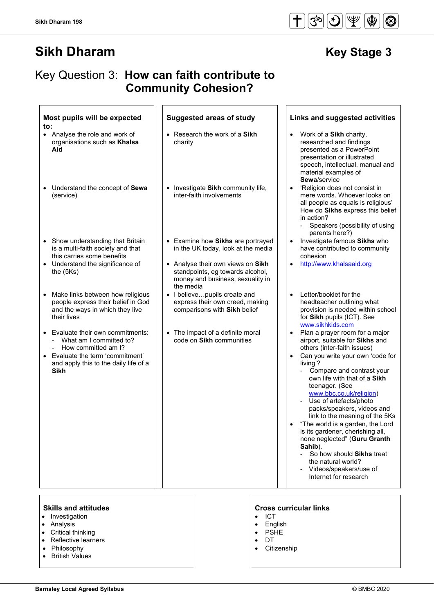$|\mathfrak{G}|$ 

 $|\mathfrak{F}|$ 

 $|\Psi$ 

 $\circledcirc$ 

 $\circledast$ 

## Key Question 3: **How can faith contribute to Community Cohesion?**

| Most pupils will be expected<br>to:                                                                                                                                                                | <b>Suggested areas of study</b>                                                                                        | Links and suggested activities                                                                                                                                                                                                                                                                                                                                                                                                                                                                                                                                                               |
|----------------------------------------------------------------------------------------------------------------------------------------------------------------------------------------------------|------------------------------------------------------------------------------------------------------------------------|----------------------------------------------------------------------------------------------------------------------------------------------------------------------------------------------------------------------------------------------------------------------------------------------------------------------------------------------------------------------------------------------------------------------------------------------------------------------------------------------------------------------------------------------------------------------------------------------|
| • Analyse the role and work of<br>organisations such as Khalsa<br>Aid                                                                                                                              | • Research the work of a Sikh<br>charity                                                                               | Work of a Sikh charity,<br>$\bullet$<br>researched and findings<br>presented as a PowerPoint<br>presentation or illustrated<br>speech, intellectual, manual and<br>material examples of<br>Sewa/service                                                                                                                                                                                                                                                                                                                                                                                      |
| Understand the concept of Sewa<br>$\bullet$<br>(service)                                                                                                                                           | • Investigate Sikh community life,<br>inter-faith involvements                                                         | 'Religion does not consist in<br>mere words. Whoever looks on<br>all people as equals is religious'<br>How do Sikhs express this belief<br>in action?<br>Speakers (possibility of using<br>$\overline{\phantom{a}}$<br>parents here?)                                                                                                                                                                                                                                                                                                                                                        |
| Show understanding that Britain<br>is a multi-faith society and that<br>this carries some benefits                                                                                                 | Examine how Sikhs are portrayed<br>in the UK today, look at the media                                                  | Investigate famous Sikhs who<br>$\bullet$<br>have contributed to community<br>cohesion                                                                                                                                                                                                                                                                                                                                                                                                                                                                                                       |
| • Understand the significance of<br>the $(5Ks)$                                                                                                                                                    | • Analyse their own views on Sikh<br>standpoints, eg towards alcohol,<br>money and business, sexuality in<br>the media | http://www.khalsaaid.org<br>$\bullet$                                                                                                                                                                                                                                                                                                                                                                                                                                                                                                                                                        |
| Make links between how religious<br>$\bullet$<br>people express their belief in God<br>and the ways in which they live<br>their lives                                                              | I believepupils create and<br>$\bullet$<br>express their own creed, making<br>comparisons with Sikh belief             | Letter/booklet for the<br>$\bullet$<br>headteacher outlining what<br>provision is needed within school<br>for Sikh pupils (ICT). See<br>www.sikhkids.com                                                                                                                                                                                                                                                                                                                                                                                                                                     |
| Evaluate their own commitments:<br>$\bullet$<br>What am I committed to?<br>How committed am I?<br>$\sim$<br>Evaluate the term 'commitment'<br>and apply this to the daily life of a<br><b>Sikh</b> | The impact of a definite moral<br>code on Sikh communities                                                             | Plan a prayer room for a major<br>airport, suitable for Sikhs and<br>others (inter-faith issues)<br>Can you write your own 'code for<br>$\bullet$<br>living'?<br>Compare and contrast your<br>own life with that of a Sikh<br>teenager. (See<br>www.bbc.co.uk/religion)<br>- Use of artefacts/photo<br>packs/speakers, videos and<br>link to the meaning of the 5Ks<br>"The world is a garden, the Lord<br>is its gardener, cherishing all,<br>none neglected" (Guru Granth<br>Sahib).<br>So how should Sikhs treat<br>the natural world?<br>Videos/speakers/use of<br>Internet for research |

- Investigation
- Analysis
- Critical thinking
- Reflective learners
- Philosophy
- British Values

#### **Skills and attitudes CRS CRS CRS CRS CRS CRS CRS CRS CRS CRS CRS CRS CRS CRS CRS CRS CRS CRS CRS CRS CRS CRS CRS CRS CRS CRS CRS CRS CRS CRS CRS CRS CRS**

- ICT
- English
- PSHE
- DT
- **Citizenship**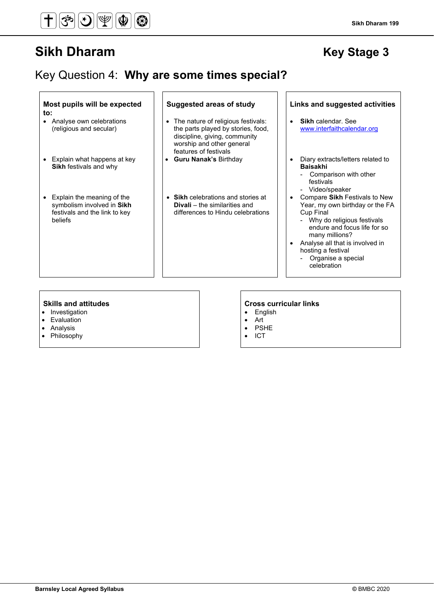#### **Sikh Dharam 199**

# Key Question 4: **Why are some times special?**

| Most pupils will be expected<br>to:                                                                           | <b>Suggested areas of study</b>                                                                                                                                   | Links and suggested activities<br><b>Sikh</b> calendar, See                                                                                                                                                                                                          |
|---------------------------------------------------------------------------------------------------------------|-------------------------------------------------------------------------------------------------------------------------------------------------------------------|----------------------------------------------------------------------------------------------------------------------------------------------------------------------------------------------------------------------------------------------------------------------|
| • Analyse own celebrations<br>(religious and secular)                                                         | • The nature of religious festivals:<br>the parts played by stories, food,<br>discipline, giving, community<br>worship and other general<br>features of festivals | www.interfaithcalendar.org                                                                                                                                                                                                                                           |
| • Explain what happens at key<br><b>Sikh festivals and why</b>                                                | <b>Guru Nanak's Birthday</b>                                                                                                                                      | Diary extracts/letters related to<br><b>Baisakhi</b><br>Comparison with other<br>festivals<br>- Video/speaker                                                                                                                                                        |
| • Explain the meaning of the<br>symbolism involved in Sikh<br>festivals and the link to key<br><b>beliefs</b> | • Sikh celebrations and stories at<br><b>Divali</b> – the similarities and<br>differences to Hindu celebrations                                                   | Compare Sikh Festivals to New<br>Year, my own birthday or the FA<br><b>Cup Final</b><br>- Why do religious festivals<br>endure and focus life for so<br>many millions?<br>Analyse all that is involved in<br>hosting a festival<br>Organise a special<br>celebration |

- Investigation
- Evaluation
- Analysis
- Philosophy

#### **Skills and attitudes Cross curricular links**

- English
- Art
- PSHE
- ICT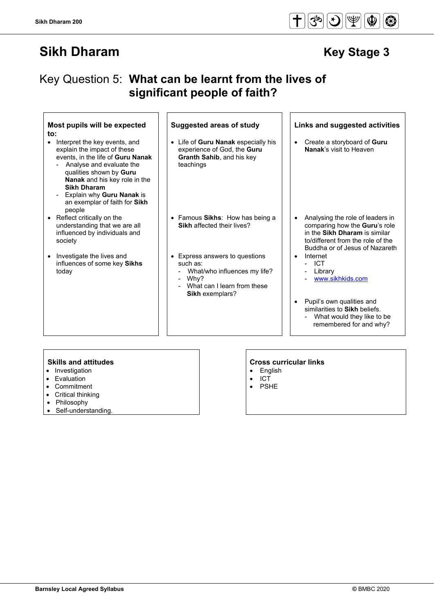# Key Question 5: **What can be learnt from the lives of significant people of faith?**

| Most pupils will be expected<br>to:                                                                                                                                                                                                                                                     | <b>Suggested areas of study</b>                                                                                                      | Links and suggested activities                                                                                                                                            |
|-----------------------------------------------------------------------------------------------------------------------------------------------------------------------------------------------------------------------------------------------------------------------------------------|--------------------------------------------------------------------------------------------------------------------------------------|---------------------------------------------------------------------------------------------------------------------------------------------------------------------------|
| Interpret the key events, and<br>explain the impact of these<br>events, in the life of Guru Nanak<br>Analyse and evaluate the<br>qualities shown by Guru<br>Nanak and his key role in the<br><b>Sikh Dharam</b><br>Explain why Guru Nanak is<br>an exemplar of faith for Sikh<br>people | • Life of Guru Nanak especially his<br>experience of God, the Guru<br>Granth Sahib, and his key<br>teachings                         | Create a storyboard of Guru<br>Nanak's visit to Heaven                                                                                                                    |
| Reflect critically on the<br>understanding that we are all<br>influenced by individuals and<br>society                                                                                                                                                                                  | • Famous Sikhs: How has being a<br>Sikh affected their lives?                                                                        | Analysing the role of leaders in<br>comparing how the Guru's role<br>in the Sikh Dharam is similar<br>to/different from the role of the<br>Buddha or of Jesus of Nazareth |
| Investigate the lives and<br>$\bullet$<br>influences of some key Sikhs<br>today                                                                                                                                                                                                         | • Express answers to questions<br>such as:<br>What/who influences my life?<br>Why?<br>What can I learn from these<br>Sikh exemplars? | Internet<br>- ICT<br>Library<br>www.sikhkids.com                                                                                                                          |
|                                                                                                                                                                                                                                                                                         |                                                                                                                                      | Pupil's own qualities and<br>similarities to Sikh beliefs.<br>What would they like to be<br>remembered for and why?                                                       |
| <b>Skills and attitudes</b>                                                                                                                                                                                                                                                             |                                                                                                                                      | <b>Cross curricular links</b>                                                                                                                                             |

- Investigation
- Evaluation
- Commitment
- Critical thinking
- **Philosophy**
- Self-understanding.

- English
- ICT
- PSHE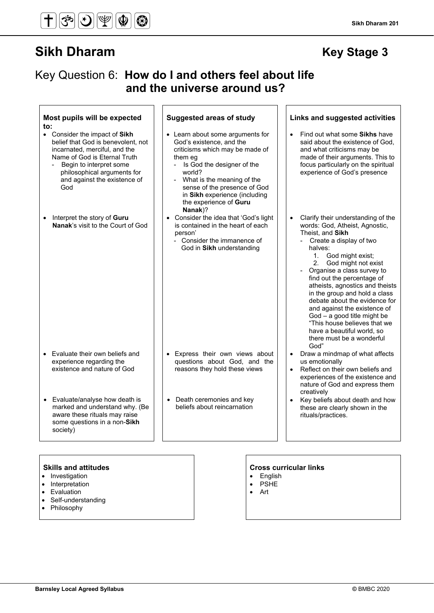## Key Question 6: **How do I and others feel about life and the universe around us?**

| Most pupils will be expected<br>to:                                                                                                                                                                                                   | <b>Suggested areas of study</b>                                                                                                                                                                                                                                                          | <b>Links and suggested activities</b>                                                                                                                                                                                                                                                                                                                                                                                                                                                                                  |
|---------------------------------------------------------------------------------------------------------------------------------------------------------------------------------------------------------------------------------------|------------------------------------------------------------------------------------------------------------------------------------------------------------------------------------------------------------------------------------------------------------------------------------------|------------------------------------------------------------------------------------------------------------------------------------------------------------------------------------------------------------------------------------------------------------------------------------------------------------------------------------------------------------------------------------------------------------------------------------------------------------------------------------------------------------------------|
| • Consider the impact of Sikh<br>belief that God is benevolent, not<br>incarnated, merciful, and the<br>Name of God is Eternal Truth<br>Begin to interpret some<br>philosophical arguments for<br>and against the existence of<br>God | • Learn about some arguments for<br>God's existence, and the<br>criticisms which may be made of<br>them eq<br>- Is God the designer of the<br>world?<br>What is the meaning of the<br>sense of the presence of God<br>in Sikh experience (including<br>the experience of Guru<br>Nanak)? | Find out what some Sikhs have<br>said about the existence of God.<br>and what criticisms may be<br>made of their arguments. This to<br>focus particularly on the spiritual<br>experience of God's presence                                                                                                                                                                                                                                                                                                             |
| Interpret the story of Guru<br>$\bullet$<br>Nanak's visit to the Court of God                                                                                                                                                         | • Consider the idea that 'God's light<br>is contained in the heart of each<br>person'<br>- Consider the immanence of<br>God in Sikh understanding                                                                                                                                        | Clarify their understanding of the<br>words: God, Atheist, Agnostic,<br>Theist, and Sikh<br>- Create a display of two<br>halves:<br>1. God might exist;<br>2. God might not exist<br>Organise a class survey to<br>find out the percentage of<br>atheists, agnostics and theists<br>in the group and hold a class<br>debate about the evidence for<br>and against the existence of<br>$God - a good title might be$<br>"This house believes that we<br>have a beautiful world, so<br>there must be a wonderful<br>God" |
| Evaluate their own beliefs and<br>$\bullet$<br>experience regarding the<br>existence and nature of God                                                                                                                                | • Express their own views about<br>questions about God, and the<br>reasons they hold these views                                                                                                                                                                                         | Draw a mindmap of what affects<br>$\bullet$<br>us emotionally<br>Reflect on their own beliefs and<br>experiences of the existence and<br>nature of God and express them<br>creatively                                                                                                                                                                                                                                                                                                                                  |
| Evaluate/analyse how death is<br>marked and understand why. (Be<br>aware these rituals may raise<br>some questions in a non-Sikh<br>society)                                                                                          | • Death ceremonies and key<br>beliefs about reincarnation                                                                                                                                                                                                                                | Key beliefs about death and how<br>these are clearly shown in the<br>rituals/practices.                                                                                                                                                                                                                                                                                                                                                                                                                                |

- Investigation
- Interpretation
- Evaluation
- Self-understanding
- Philosophy

- English
- PSHE
- Art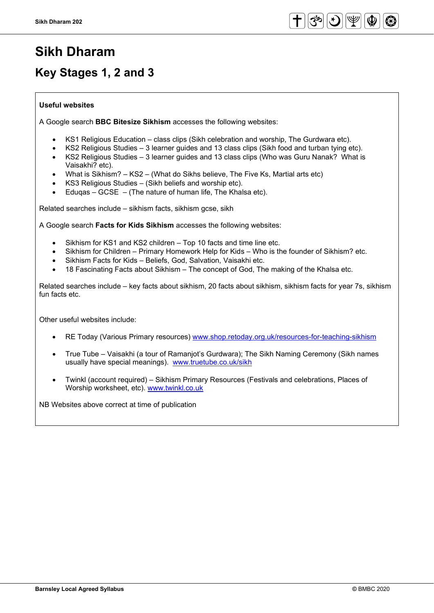# **Sikh Dharam**

# **Key Stages 1, 2 and 3**

### **Useful websites**

A Google search **BBC Bitesize Sikhism** accesses the following websites:

- KS1 Religious Education class clips (Sikh celebration and worship, The Gurdwara etc).
- KS2 Religious Studies 3 learner guides and 13 class clips (Sikh food and turban tying etc).
- KS2 Religious Studies 3 learner guides and 13 class clips (Who was Guru Nanak? What is Vaisakhi? etc).
- What is Sikhism? KS2 (What do Sikhs believe, The Five Ks, Martial arts etc)
- KS3 Religious Studies (Sikh beliefs and worship etc).
- Edugas  $GCSE (The nature of human life, The Khalsa etc).$

Related searches include – sikhism facts, sikhism gcse, sikh

A Google search **Facts for Kids Sikhism** accesses the following websites:

- Sikhism for KS1 and KS2 children Top 10 facts and time line etc.
- Sikhism for Children Primary Homework Help for Kids Who is the founder of Sikhism? etc.
- Sikhism Facts for Kids Beliefs, God, Salvation, Vaisakhi etc.
- 18 Fascinating Facts about Sikhism The concept of God, The making of the Khalsa etc.

Related searches include – key facts about sikhism, 20 facts about sikhism, sikhism facts for year 7s, sikhism fun facts etc.

Other useful websites include:

- RE Today (Various Primary resources) [www.shop.retoday.org.uk/resources-for-teaching-sikhism](http://www.shop.retoday.org.uk/resources-for-teaching-sikhism)
- True Tube Vaisakhi (a tour of Ramanjot's Gurdwara); The Sikh Naming Ceremony (Sikh names usually have special meanings). [www.truetube.co.uk/sikh](http://www.truetube.co.uk/sikh)
- Twinkl (account required) Sikhism Primary Resources (Festivals and celebrations, Places of Worship worksheet, etc). [www.twinkl.co.uk](http://www.twinkl.co.uk/)

NB Websites above correct at time of publication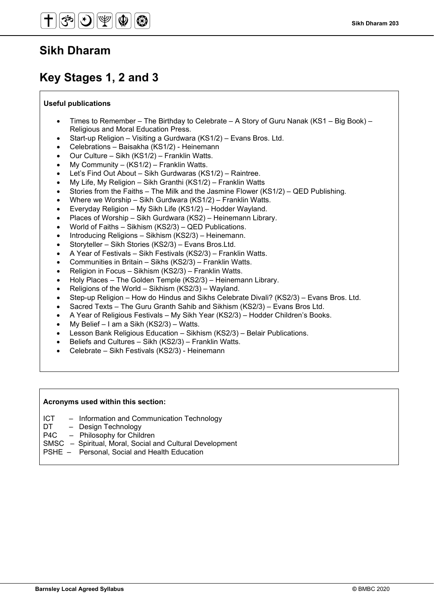# **Key Stages 1, 2 and 3**

### **Useful publications**

- Times to Remember The Birthday to Celebrate A Story of Guru Nanak (KS1 Big Book) Religious and Moral Education Press.
- Start-up Religion Visiting a Gurdwara (KS1/2) Evans Bros. Ltd.
- Celebrations Baisakha (KS1/2) Heinemann
- Our Culture Sikh (KS1/2) Franklin Watts.
- My Community (KS1/2) Franklin Watts.
- Let's Find Out About Sikh Gurdwaras (KS1/2) Raintree.
- My Life, My Religion Sikh Granthi (KS1/2) Franklin Watts
- Stories from the Faiths The Milk and the Jasmine Flower (KS1/2) QED Publishing.
- Where we Worship Sikh Gurdwara (KS1/2) Franklin Watts.
- Everyday Religion My Sikh Life (KS1/2) Hodder Wayland.
- Places of Worship Sikh Gurdwara (KS2) Heinemann Library.
- World of Faiths Sikhism (KS2/3) QED Publications.
- Introducing Religions Sikhism (KS2/3) Heinemann.
- Storyteller Sikh Stories (KS2/3) Evans Bros.Ltd.
- A Year of Festivals Sikh Festivals (KS2/3) Franklin Watts.
- Communities in Britain Sikhs (KS2/3) Franklin Watts.
- Religion in Focus Sikhism (KS2/3) Franklin Watts.
- Holy Places The Golden Temple (KS2/3) Heinemann Library.
- Religions of the World Sikhism (KS2/3) Wayland.
- Step-up Religion How do Hindus and Sikhs Celebrate Divali? (KS2/3) Evans Bros. Ltd.
- Sacred Texts The Guru Granth Sahib and Sikhism (KS2/3) Evans Bros Ltd.
- A Year of Religious Festivals My Sikh Year (KS2/3) Hodder Children's Books.
- My Belief I am a Sikh (KS2/3) Watts.
- Lesson Bank Religious Education Sikhism (KS2/3) Belair Publications.
- Beliefs and Cultures Sikh (KS2/3) Franklin Watts.
- Celebrate Sikh Festivals (KS2/3) Heinemann

#### **Acronyms used within this section:**

- ICT Information and Communication Technology
- DT Design Technology<br>P4C Philosophy for Chilc
- Philosophy for Children
- SMSC Spiritual, Moral, Social and Cultural Development
- PSHE Personal, Social and Health Education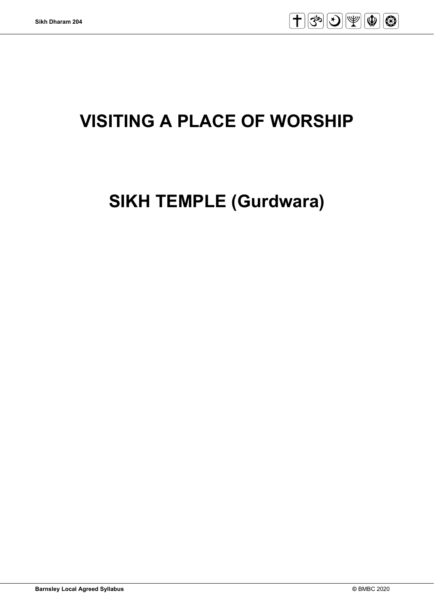

# **VISITING A PLACE OF WORSHIP**

# **SIKH TEMPLE (Gurdwara)**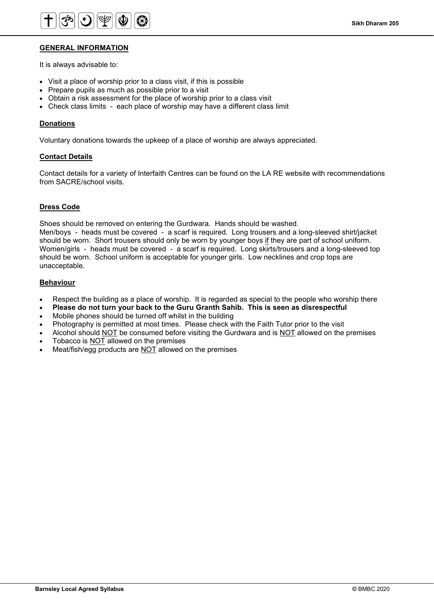

#### **GENERAL INFORMATION**

It is always advisable to:

- Visit a place of worship prior to a class visit, if this is possible
- Prepare pupils as much as possible prior to a visit
- Obtain a risk assessment for the place of worship prior to a class visit
- Check class limits each place of worship may have a different class limit

#### **Donations**

Voluntary donations towards the upkeep of a place of worship are always appreciated.

#### **Contact Details**

Contact details for a variety of Interfaith Centres can be found on the LA RE website with recommendations from SACRE/school visits.

#### **Dress Code**

Shoes should be removed on entering the Gurdwara. Hands should be washed.

Men/boys - heads must be covered - a scarf is required. Long trousers and a long-sleeved shirt/jacket should be worn. Short trousers should only be worn by younger boys if they are part of school uniform. Women/girls - heads must be covered - a scarf is required. Long skirts/trousers and a long-sleeved top should be worn. School uniform is acceptable for younger girls. Low necklines and crop tops are unacceptable.

#### **Behaviour**

- Respect the building as a place of worship. It is regarded as special to the people who worship there
- **Please do not turn your back to the Guru Granth Sahib. This is seen as disrespectful**
- Mobile phones should be turned off whilst in the building
- Photography is permitted at most times. Please check with the Faith Tutor prior to the visit
- Alcohol should NOT be consumed before visiting the Gurdwara and is NOT allowed on the premises
- Tobacco is NOT allowed on the premises
- Meat/fish/egg products are NOT allowed on the premises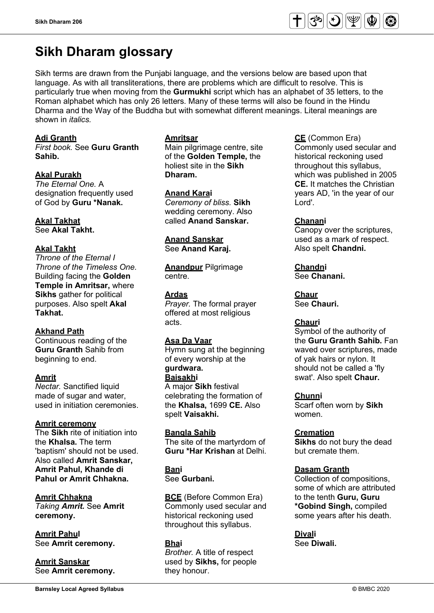# **Sikh Dharam glossary**

Sikh terms are drawn from the Punjabi language, and the versions below are based upon that language. As with all transliterations, there are problems which are difficult to resolve. This is particularly true when moving from the **Gurmukhi** script which has an alphabet of 35 letters, to the Roman alphabet which has only 26 letters. Many of these terms will also be found in the Hindu Dharma and the Way of the Buddha but with somewhat different meanings. Literal meanings are shown in *italics.*

### **Adi Granth**

*First book.* See **Guru Granth Sahib.** 

### **Akal Purakh**

*The Eternal One.* A designation frequently used of God by **Guru \*Nanak.** 

### **Akal Takhat**

See **Akal Takht.** 

### **Akal Takht**

*Throne of the Eternal I Throne of the Timeless One.* Building facing the **Golden Temple in Amritsar,** where **Sikhs** gather for political purposes. Also spelt **Akal Takhat.**

### **Akhand Path**

Continuous reading of the **Guru Granth** Sahib from beginning to end.

### **Amrit**

*Nectar.* Sanctified liquid made of sugar and water, used in initiation ceremonies.

### **Amrit ceremony**

The **Sikh** rite of initiation into the **Khalsa.** The term 'baptism' should not be used. Also called **Amrit Sanskar, Amrit Pahul, Khande di Pahul or Amrit Chhakna.**

**Amrit Chhakna** *Taking Amrit.* See **Amrit ceremony.** 

**Amrit Pahul**  See **Amrit ceremony.** 

**Amrit Sanskar** See **Amrit ceremony.** 

#### **Amritsar**

Main pilgrimage centre, site of the **Golden Temple,** the holiest site in the **Sikh Dharam.**

**Anand Karai**  *Ceremony of bliss.* **Sikh** wedding ceremony. Also called **Anand Sanskar.**

## **Anand Sanskar**

See **Anand Karaj.** 

**Anandpur** Pilgrimage centre.

### **Ardas**

*Prayer.* The formal prayer offered at most religious acts.

### **Asa Da Vaar**

Hymn sung at the beginning of every worship at the **gurdwara.**

#### **Baisakhi**

A major **Sikh** festival celebrating the formation of the **Khalsa,** 1699 **CE.** Also spelt **Vaisakhi.**

**Bangla Sahib** The site of the martyrdom of **Guru \*Har Krishan** at Delhi.

**Bani**  See **Gurbani.**

**BCE** (Before Common Era) Commonly used secular and historical reckoning used throughout this syllabus.

### **Bhai**

*Brother.* A title of respect used by **Sikhs,** for people they honour.

**CE** (Common Era) Commonly used secular and historical reckoning used throughout this syllabus, which was published in 2005 **CE.** It matches the Christian

years AD, 'in the year of our

### **Chanani**

Lord'.

Canopy over the scriptures, used as a mark of respect. Also spelt **Chandni.**

**Chandni**  See **Chanani.** 

**Chaur** See **Chauri.** 

### **Chauri**

Symbol of the authority of the **Guru Granth Sahib.** Fan waved over scriptures, made of yak hairs or nylon. It should not be called a 'fly swat'. Also spelt **Chaur.**

### **Chunni**

Scarf often worn by **Sikh** women.

### **Cremation**

**Sikhs** do not bury the dead but cremate them.

### **Dasam Granth**

Collection of compositions, some of which are attributed to the tenth **Guru, Guru \*Gobind Singh,** compiled some years after his death.

**Divali**  See **Diwali.**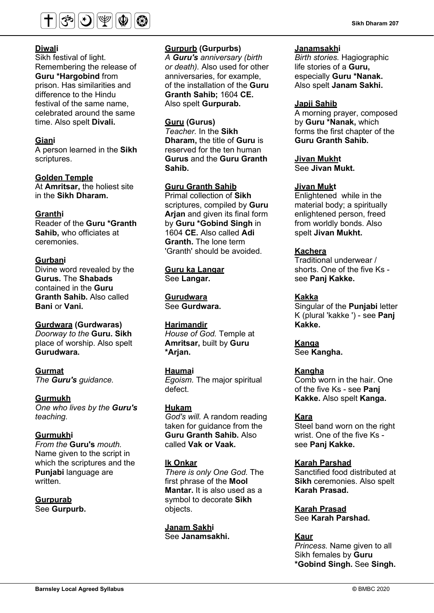

### **Diwali**

Sikh festival of light. Remembering the release of **Guru \*Hargobind** from prison. Has similarities and difference to the Hindu festival of the same name, celebrated around the same time. Also spelt **Divali.**

#### **Giani**

A person learned in the **Sikh** scriptures.

**Golden Temple** At **Amritsar,** the holiest site in the **Sikh Dharam.** 

#### **Granthi**

Reader of the **Guru \*Granth Sahib,** who officiates at ceremonies.

#### **Gurbani**

Divine word revealed by the **Gurus.** The **Shabads** contained in the **Guru Granth Sahib.** Also called **Bani or Vani.** 

### **Gurdwara (Gurdwaras)**

*Doorway to the* **Guru. Sikh** place of worship. Also spelt **Gurudwara.**

#### **Gurmat** *The Guru's guidance.*

### **Gurmukh**

*One who lives by the Guru's teaching.*

#### **Gurmukhi**

*From the* **Guru's** *mouth.* Name given to the script in which the scriptures and the **Punjabi** language are written.

**Gurpurab** See **Gurpurb.** 

#### **Gurpurb (Gurpurbs)**

*A Guru's anniversary (birth or death).* Also used for other anniversaries, for example, of the installation of the **Guru Granth Sahib;** 1604 **CE.** Also spelt **Gurpurab.**

#### **Guru (Gurus)**

*Teacher.* In the **Sikh Dharam,** the title of **Guru** is reserved for the ten human **Gurus** and the **Guru Granth Sahib.**

### **Guru Granth Sahib**

Primal collection of **Sikh**  scriptures, compiled by **Guru Arjan** and given its final form by **Guru \*Gobind Singh** in 1604 **CE.** Also called **Adi Granth.** The lone term 'Granth' should be avoided.

**Guru ka Langar** See **Langar.** 

**Gurudwara**  See **Gurdwara.** 

#### **Harimandir**

*House of God.* Temple at **Amritsar,** built by **Guru \*Arjan.** 

### **Haumai**  *Egoism.* The major spiritual

defect.

## **Hukam**

*God's will.* A random reading taken for guidance from the **Guru Granth Sahib.** Also called **Vak or Vaak.**

### **lk Onkar**

*There is only One God.* The first phrase of the **Mool Mantar.** It is also used as a symbol to decorate **Sikh** objects.

**Janam Sakhi**  See **Janamsakhi.** 

#### **Janamsakhi**

*Birth stories.* Hagiographic life stories of a **Guru,** especially **Guru \*Nanak.** Also spelt **Janam Sakhi.**

#### **Japji Sahib**

A morning prayer, composed by **Guru \*Nanak,** which forms the first chapter of the **Guru Granth Sahib.** 

#### **Jivan Mukht**

See **Jivan Mukt.** 

#### **Jivan Mukt**

Enlightened while in the material body; a spiritually enlightened person, freed from worldly bonds. Also spelt **Jivan Mukht.**

#### **Kachera**

Traditional underwear / shorts. One of the five Ks see **Panj Kakke.**

#### **Kakka**

Singular of the **Punjabi** letter K (plural 'kakke ') - see **Panj Kakke.** 

**Kanga** See **Kangha.** 

### **Kangha**

Comb worn in the hair. One of the five Ks - see **Panj Kakke.** Also spelt **Kanga.**

#### **Kara**

Steel band worn on the right wrist. One of the five Ks see **Panj Kakke.** 

### **Karah Parshad**

Sanctified food distributed at **Sikh** ceremonies. Also spelt **Karah Prasad.**

**Karah Prasad** See **Karah Parshad.** 

#### **Kaur**

*Princess.* Name given to all Sikh females by **Guru \*Gobind Singh.** See **Singh.**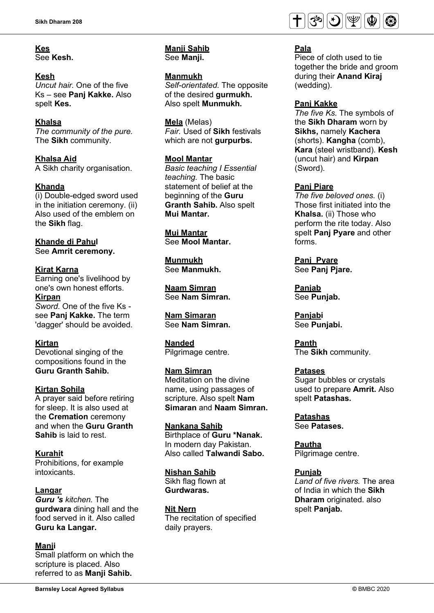## **Kes**

See **Kesh.** 

### **Kesh**

*Uncut hair.* One of the five Ks – see **Panj Kakke.** Also spelt **Kes.** 

### **Khalsa**

*The community of the pure.* The **Sikh** community.

**Khalsa Aid** A Sikh charity organisation.

### **Khanda**

(i) Double-edged sword used in the initiation ceremony. (ii) Also used of the emblem on the **Sikh** flag.

**Khande di Pahul**  See **Amrit ceremony.** 

### **Kirat Karna**

Earning one's livelihood by one's own honest efforts.

**Kirpan** *Sword.* One of the five Ks see **Panj Kakke.** The term 'dagger' should be avoided.

### **Kirtan**

Devotional singing of the compositions found in the **Guru Granth Sahib.**

### **Kirtan Sohila**

A prayer said before retiring for sleep. It is also used at the **Cremation** ceremony and when the **Guru Granth Sahib** is laid to rest.

### **Kurahit**

Prohibitions, for example intoxicants.

### **Langar**

*Guru 's kitchen.* The **gurdwara** dining hall and the food served in it. Also called **Guru ka Langar.**

### **Manji**

Small platform on which the scripture is placed. Also referred to as **Manji Sahib.**

#### **Manji Sahib**  See **Manji.**

**Manmukh** *Self-orientated.* The opposite of the desired **gurmukh.**  Also spelt **Munmukh.** 

**Mela** (Melas) *Fair.* Used of **Sikh** festivals which are not **gurpurbs.**

### **Mool Mantar**

*Basic teaching I Essential teaching.* The basic statement of belief at the beginning of the **Guru Granth Sahib.** Also spelt **Mui Mantar.** 

**Mui Mantar** See **Mool Mantar.** 

**Munmukh** See **Manmukh.** 

**Naam Simran**  See **Nam Simran.** 

## **Nam Simaran**

See **Nam Simran.** 

### **Nanded**

Pilgrimage centre.

### **Nam Simran**

Meditation on the divine name, using passages of scripture. Also spelt **Nam Simaran** and **Naam Simran.** 

**Nankana Sahib** Birthplace of **Guru \*Nanak.**  In modern day Pakistan. Also called **Talwandi Sabo.** 

### **Nishan Sahib**

Sikh flag flown at **Gurdwaras.** 

### **Nit Nern**

The recitation of specified daily prayers.



### **Pala**

Piece of cloth used to tie together the bride and groom during their **Anand Kiraj** (wedding).

### **Panj Kakke**

*The five Ks.* The symbols of the **Sikh Dharam** worn by **Sikhs,** namely **Kachera**  (shorts). **Kangha** (comb), **Kara** (steel wristband). **Kesh**  (uncut hair) and **Kirpan** (Sword).

### **Panj Piare**

*The five beloved ones.* (i) Those first initiated into the **Khalsa.** (ii) Those who perform the rite today. Also spelt **Panj Pyare** and other forms.

**Panj Pyare**  See **Panj Pjare.** 

**Panjab** See **Punjab.** 

**Panjabi**  See **Punjabi.** 

**Panth** The **Sikh** community.

### **Patases**

Sugar bubbles or crystals used to prepare **Amrit.** Also spelt **Patashas.** 

**Patashas** See **Patases.** 

**Pautha**  Pilgrimage centre.

**Punjab** *Land of five rivers.* The area of India in which the **Sikh Dharam** originated. also spelt **Panjab.**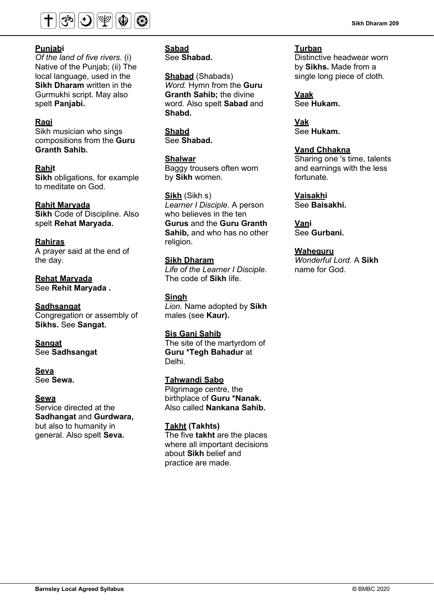

### **Punjabi**

*Of the land of five rivers.* (i) Native of the Punjab; (ii) The local language, used in the **Sikh Dharam** written in the Gurmukhi script. May also spelt **Panjabi.**

### **Ragi**

Sikh musician who sings compositions from the **Guru Granth Sahib.**

**Rahit Sikh** obligations, for example to meditate on God.

### **Rahit Maryada**

**Sikh** Code of Discipline. Also spelt **Rehat Maryada.** 

### **Rahiras**

A prayer said at the end of the day.

**Rehat Maryada** See **Rehit Maryada .** 

### **Sadhsangat**

Congregation or assembly of **Sikhs.** See **Sangat.** 

# **Sangat**

See **Sadhsangat** 

## **Seva**

See **Sewa.** 

#### **Sewa**

Service directed at the **Sadhangat** and **Gurdwara,**  but also to humanity in general. Also spelt **Seva.** 

**Sabad** See **Shabad.**

**Shabad** (Shabads) *Word.* Hymn from the **Guru Granth Sahib;** the divine word. Also spelt **Sabad** and **Shabd.** 

**Shabd** See **Shabad.**

**Shalwar**

Baggy trousers often worn by **Sikh** women.

**Sikh** (Sikh s) *Learner I Disciple.* A person who believes in the ten **Gurus** and the **Guru Granth Sahib,** and who has no other religion.

### **Sikh Dharam**

*Life of the Learner I Disciple.*  The code of **Sikh** life.

**Singh**

*Lion.* Name adopted by **Sikh**  males (see **Kaur).** 

### **Sis Ganj Sahib**

The site of the martyrdom of **Guru \*Tegh Bahadur** at Delhi.

### **Tahwandi Sabo**

Pilgrimage centre, the birthplace of **Guru \*Nanak.** Also called **Nankana Sahib.** 

### **Takht (Takhts)**

The five **takht** are the places where all important decisions about **Sikh** belief and practice are made.

**Turban** Distinctive headwear worn by **Sikhs.** Made from a single long piece of cloth.

**Vaak** See **Hukam.** 

**Vak** See **Hukam.**

#### **Vand Chhakna**

Sharing one 's time, talents and earnings with the less fortunate.

**Vaisakhi**  See **Baisakhi.** 

**Vani**  See **Gurbani.** 

**Waheguru** *Wonderful Lord.* A **Sikh**  name for God.